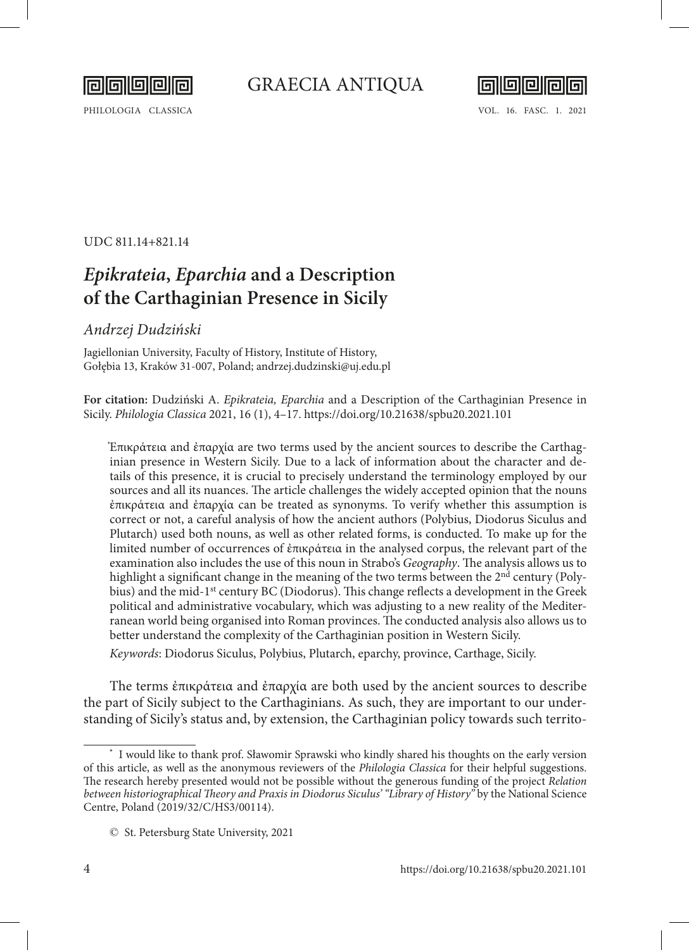

PHILOLOGIA CLASSICA VOL. 16. FASC. 1. 2021



UDC 811.14+821.14

# *Epikrateia***,** *Eparchia* **and a Description of the Carthaginian Presence in Sicily**

## *Andrzej Dudziński*

Jagiellonian University, Faculty of History, Institute of History, Gołębia 13, Kraków 31-007, Poland; andrzej.dudzinski@uj.edu.pl

**For citation:** Dudziński A. *Epikrateia, Eparchia* and a Description of the Carthaginian Presence in Sicily. *Philologia Classica* 2021, 16 (1), 4–17. <https://doi.org/10.21638/spbu20.2021.101>

Ἐπικράτεια and ἐπαρχία are two terms used by the ancient sources to describe the Carthaginian presence in Western Sicily. Due to a lack of information about the character and details of this presence, it is crucial to precisely understand the terminology employed by our sources and all its nuances. The article challenges the widely accepted opinion that the nouns ἐπικράτεια and ἐπαρχία can be treated as synonyms. To verify whether this assumption is correct or not, a careful analysis of how the ancient authors (Polybius, Diodorus Siculus and Plutarch) used both nouns, as well as other related forms, is conducted. To make up for the limited number of occurrences of ἐπικράτεια in the analysed corpus, the relevant part of the examination also includes the use of this noun in Strabo's *Geography*. The analysis allows us to highlight a significant change in the meaning of the two terms between the  $2<sup>nd</sup>$  century (Polybius) and the mid-1<sup>st</sup> century BC (Diodorus). This change reflects a development in the Greek political and administrative vocabulary, which was adjusting to a new reality of the Mediterranean world being organised into Roman provinces. The conducted analysis also allows us to better understand the complexity of the Carthaginian position in Western Sicily.

*Keywords*: Diodorus Siculus, Polybius, Plutarch, eparchy, province, Carthage, Sicily.

The terms ἐπικράτεια and ἐπαρχία are both used by the ancient sources to describe the part of Sicily subject to the Carthaginians. As such, they are important to our understanding of Sicily's status and, by extension, the Carthaginian policy towards such territo-

**<sup>\*</sup>** I would like to thank prof. Sławomir Sprawski who kindly shared his thoughts on the early version of this article, as well as the anonymous reviewers of the *Philologia Classica* for their helpful suggestions. The research hereby presented would not be possible without the generous funding of the project *Relation between historiographical Theory and Praxis in Diodorus Siculus' "Library of History"* by the National Science Centre, Poland (2019/32/C/HS3/00114).

<sup>©</sup> St. Petersburg State University, 2021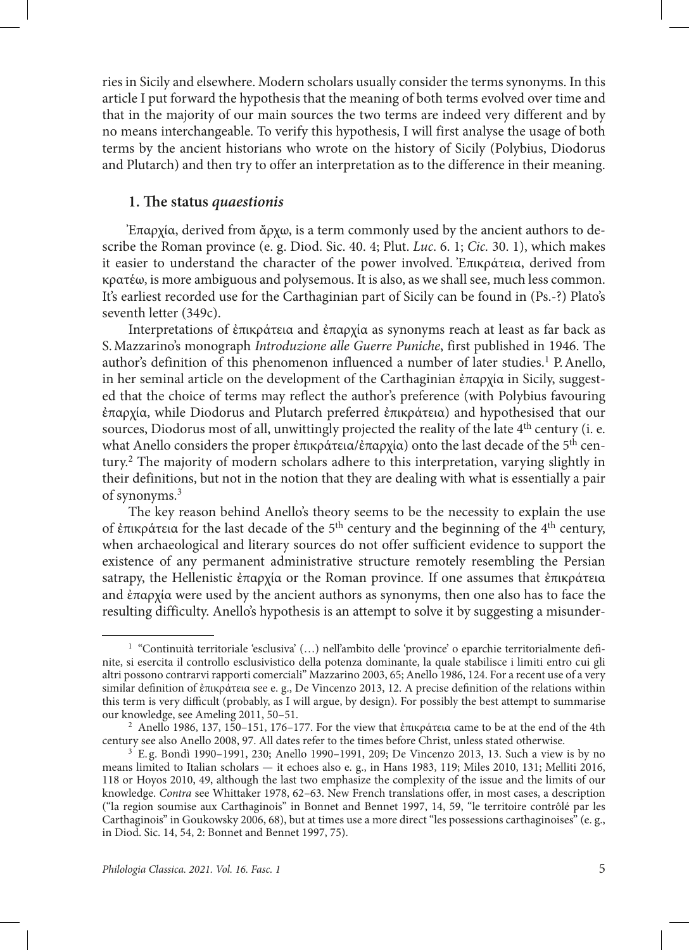ries in Sicily and elsewhere. Modern scholars usually consider the terms synonyms. In this article I put forward the hypothesis that the meaning of both terms evolved over time and that in the majority of our main sources the two terms are indeed very different and by no means interchangeable. To verify this hypothesis, I will first analyse the usage of both terms by the ancient historians who wrote on the history of Sicily (Polybius, Diodorus and Plutarch) and then try to offer an interpretation as to the difference in their meaning.

#### **1. The status** *quaestionis*

Ἐπαρχία, derived from ἄρχω, is a term commonly used by the ancient authors to describe the Roman province (e. g. Diod. Sic. 40. 4; Plut. *Luc*. 6. 1; *Cic.* 30. 1), which makes it easier to understand the character of the power involved. Ἐπικράτεια, derived from κρατέω, is more ambiguous and polysemous. It is also, as we shall see, much less common. It's earliest recorded use for the Carthaginian part of Sicily can be found in (Ps.-?) Plato's seventh letter (349c).

Interpretations of ἐπικράτεια and ἐπαρχία as synonyms reach at least as far back as S.Mazzarino's monograph *Introduzione alle Guerre Puniche*, first published in 1946. The author's definition of this phenomenon influenced a number of later studies.<sup>1</sup> P. Anello, in her seminal article on the development of the Carthaginian ἐπαρχία in Sicily, suggested that the choice of terms may reflect the author's preference (with Polybius favouring ἐπαρχία, while Diodorus and Plutarch preferred ἐπικράτεια) and hypothesised that our sources. Diodorus most of all, unwittingly projected the reality of the late  $4<sup>th</sup>$  century (i. e. what Anello considers the proper ἐπικράτεια/ἐπαρχία) onto the last decade of the 5th century.2 The majority of modern scholars adhere to this interpretation, varying slightly in their definitions, but not in the notion that they are dealing with what is essentially a pair of synonyms.3

The key reason behind Anello's theory seems to be the necessity to explain the use of ἐπικράτεια for the last decade of the 5th century and the beginning of the 4th century, when archaeological and literary sources do not offer sufficient evidence to support the existence of any permanent administrative structure remotely resembling the Persian satrapy, the Hellenistic ἐπαρχία or the Roman province. If one assumes that ἐπικράτεια and ἐπαρχία were used by the ancient authors as synonyms, then one also has to face the resulting difficulty. Anello's hypothesis is an attempt to solve it by suggesting a misunder-

<sup>1</sup> "Continuità territoriale 'esclusiva' (…) nell'ambito delle 'province' o eparchie territorialmente definite, si esercita il controllo esclusivistico della potenza dominante, la quale stabilisce i limiti entro cui gli altri possono contrarvi rapporti comerciali" Mazzarino 2003, 65; Anello 1986, 124. For a recent use of a very similar definition of ἐπικράτεια see e. g., De Vincenzo 2013, 12. A precise definition of the relations within this term is very difficult (probably, as I will argue, by design). For possibly the best attempt to summarise our knowledge, see Ameling 2011, 50–51.

<sup>&</sup>lt;sup>2</sup> Anello 1986, 137, 150–151, 176–177. For the view that ἐπικράτεια came to be at the end of the 4th century see also Anello 2008, 97. All dates refer to the times before Christ, unless stated otherwise.

<sup>3</sup> E. g. Bondì 1990–1991, 230; Anello 1990–1991, 209; De Vincenzo 2013, 13. Such a view is by no means limited to Italian scholars — it echoes also e. g., in Hans 1983, 119; Miles 2010, 131; Melliti 2016, 118 or Hoyos 2010, 49, although the last two emphasize the complexity of the issue and the limits of our knowledge. *Contra* see Whittaker 1978, 62–63. New French translations offer, in most cases, a description ("la region soumise aux Carthaginois" in Bonnet and Bennet 1997, 14, 59, "le territoire contrôlé par les Carthaginois" in Goukowsky 2006, 68), but at times use a more direct "les possessions carthaginoises" (e. g., in Diod. Sic. 14, 54, 2: Bonnet and Bennet 1997, 75).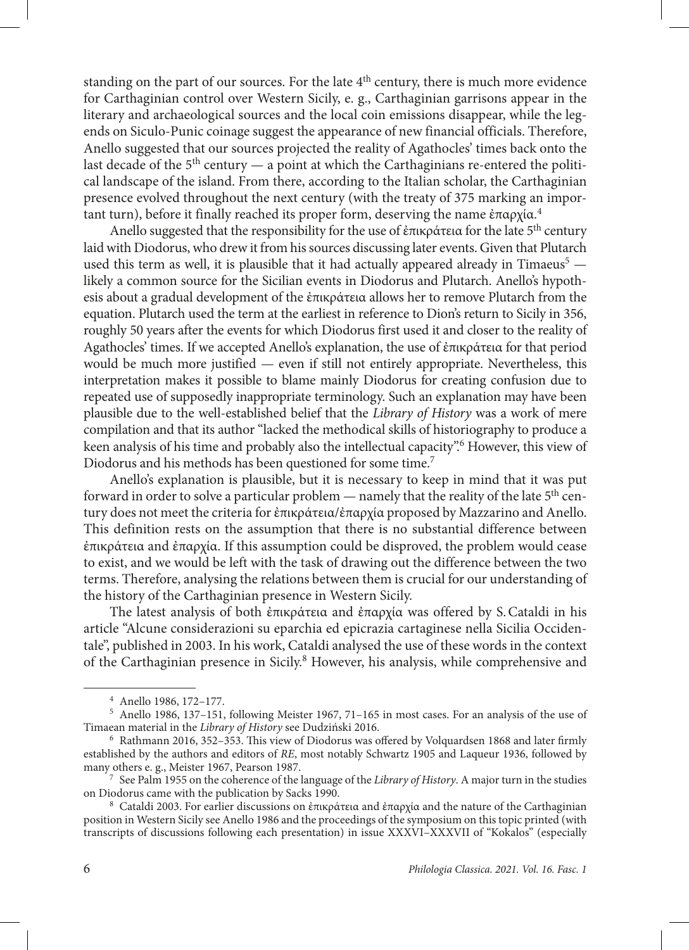standing on the part of our sources. For the late  $4<sup>th</sup>$  century, there is much more evidence for Carthaginian control over Western Sicily, e. g., Carthaginian garrisons appear in the literary and archaeological sources and the local coin emissions disappear, while the legends on Siculo-Punic coinage suggest the appearance of new financial officials. Therefore, Anello suggested that our sources projected the reality of Agathocles' times back onto the last decade of the  $5<sup>th</sup>$  century — a point at which the Carthaginians re-entered the political landscape of the island. From there, according to the Italian scholar, the Carthaginian presence evolved throughout the next century (with the treaty of 375 marking an important turn), before it finally reached its proper form, deserving the name ἐπαρχία.4

Anello suggested that the responsibility for the use of ἐπικράτεια for the late 5<sup>th</sup> century laid with Diodorus, who drew it from his sources discussing later events. Given that Plutarch used this term as well, it is plausible that it had actually appeared already in Timaeus<sup>5</sup>  $$ likely a common source for the Sicilian events in Diodorus and Plutarch. Anello's hypothesis about a gradual development of the ἐπικράτεια allows her to remove Plutarch from the equation. Plutarch used the term at the earliest in reference to Dion's return to Sicily in 356, roughly 50 years after the events for which Diodorus first used it and closer to the reality of Agathocles' times. If we accepted Anello's explanation, the use of ἐπικράτεια for that period would be much more justified — even if still not entirely appropriate. Nevertheless, this interpretation makes it possible to blame mainly Diodorus for creating confusion due to repeated use of supposedly inappropriate terminology. Such an explanation may have been plausible due to the well-established belief that the *Library of History* was a work of mere compilation and that its author "lacked the methodical skills of historiography to produce a keen analysis of his time and probably also the intellectual capacity".6 However, this view of Diodorus and his methods has been questioned for some time.7

Anello's explanation is plausible, but it is necessary to keep in mind that it was put forward in order to solve a particular problem — namely that the reality of the late  $5<sup>th</sup>$  century does not meet the criteria for ἐπικράτεια/ἐπαρχία proposed by Mazzarino and Anello. This definition rests on the assumption that there is no substantial difference between ἐπικράτεια and ἐπαρχία. If this assumption could be disproved, the problem would cease to exist, and we would be left with the task of drawing out the difference between the two terms. Therefore, analysing the relations between them is crucial for our understanding of the history of the Carthaginian presence in Western Sicily.

The latest analysis of both ἐπικράτεια and ἐπαρχία was offered by S.Cataldi in his article "Alcune considerazioni su eparchia ed epicrazia cartaginese nella Sicilia Occidentale", published in 2003. In his work, Cataldi analysed the use of these words in the context of the Carthaginian presence in Sicily.<sup>8</sup> However, his analysis, while comprehensive and

<sup>4</sup> Anello 1986, 172–177.

<sup>&</sup>lt;sup>5</sup> Anello 1986, 137–151, following Meister 1967, 71–165 in most cases. For an analysis of the use of Timaean material in the *Library of History* see Dudziński 2016.

<sup>&</sup>lt;sup>6</sup> Rathmann 2016, 352–353. This view of Diodorus was offered by Volquardsen 1868 and later firmly established by the authors and editors of *RE*, most notably Schwartz 1905 and Laqueur 1936, followed by many others e. g., Meister 1967, Pearson 1987.

<sup>7</sup> See Palm 1955 on the coherence of the language of the *Library of History*. A major turn in the studies on Diodorus came with the publication by Sacks 1990.

<sup>8</sup> Cataldi 2003. For earlier discussions on ἐπικράτεια and ἐπαρχία and the nature of the Carthaginian position in Western Sicily see Anello 1986 and the proceedings of the symposium on this topic printed (with transcripts of discussions following each presentation) in issue XXXVI–XXXVII of "Kokalos" (especially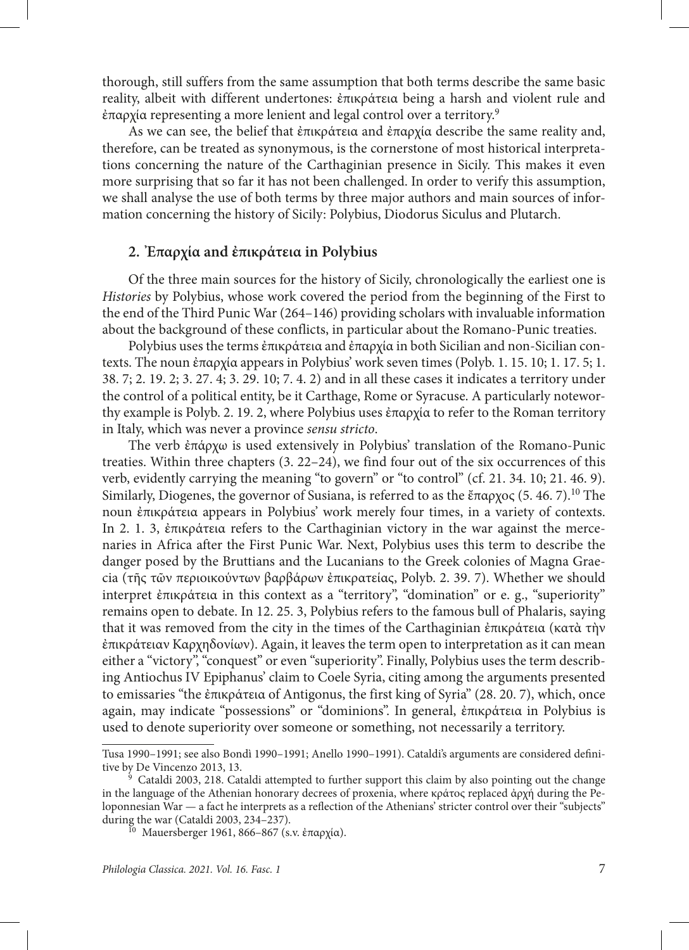thorough, still suffers from the same assumption that both terms describe the same basic reality, albeit with different undertones: ἐπικράτεια being a harsh and violent rule and ἐπαρχία representing a more lenient and legal control over a territory.9

As we can see, the belief that ἐπικράτεια and ἐπαρχία describe the same reality and, therefore, can be treated as synonymous, is the cornerstone of most historical interpretations concerning the nature of the Carthaginian presence in Sicily. This makes it even more surprising that so far it has not been challenged. In order to verify this assumption, we shall analyse the use of both terms by three major authors and main sources of information concerning the history of Sicily: Polybius, Diodorus Siculus and Plutarch.

## **2. Ἐπαρχία and ἐπικράτεια in Polybius**

Of the three main sources for the history of Sicily, chronologically the earliest one is *Histories* by Polybius, whose work covered the period from the beginning of the First to the end of the Third Punic War (264–146) providing scholars with invaluable information about the background of these conflicts, in particular about the Romano-Punic treaties.

Polybius uses the terms ἐπικράτεια and ἐπαρχία in both Sicilian and non-Sicilian contexts. The noun ἐπαρχία appears in Polybius' work seven times (Polyb. 1. 15. 10; 1. 17. 5; 1. 38. 7; 2. 19. 2; 3. 27. 4; 3. 29. 10; 7. 4. 2) and in all these cases it indicates a territory under the control of a political entity, be it Carthage, Rome or Syracuse. A particularly noteworthy example is Polyb. 2. 19. 2, where Polybius uses ἐπαρχία to refer to the Roman territory in Italy, which was never a province *sensu stricto*.

The verb ἐπάρχω is used extensively in Polybius' translation of the Romano-Punic treaties. Within three chapters (3. 22–24), we find four out of the six occurrences of this verb, evidently carrying the meaning "to govern" or "to control" (cf. 21. 34. 10; 21. 46. 9). Similarly, Diogenes, the governor of Susiana, is referred to as the ἔπαρχος (5. 46. 7).<sup>10</sup> The noun ἐπικράτεια appears in Polybius' work merely four times, in a variety of contexts. In 2. 1. 3, ἐπικράτεια refers to the Carthaginian victory in the war against the mercenaries in Africa after the First Punic War. Next, Polybius uses this term to describe the danger posed by the Bruttians and the Lucanians to the Greek colonies of Magna Graecia (τῆς τῶν περιοικούντων βαρβάρων ἐπικρατείας, Polyb. 2. 39. 7). Whether we should interpret ἐπικράτεια in this context as a "territory", "domination" or e. g., "superiority" remains open to debate. In 12. 25. 3, Polybius refers to the famous bull of Phalaris, saying that it was removed from the city in the times of the Carthaginian ἐπικράτεια (κατὰ τὴν ἐπικράτειαν Καρχηδονίων). Again, it leaves the term open to interpretation as it can mean either a "victory", "conquest" or even "superiority". Finally, Polybius uses the term describing Antiochus IV Epiphanus' claim to Coele Syria, citing among the arguments presented to emissaries "the ἐπικράτεια of Antigonus, the first king of Syria" (28. 20. 7), which, once again, may indicate "possessions" or "dominions". In general, ἐπικράτεια in Polybius is used to denote superiority over someone or something, not necessarily a territory.

Tusa 1990–1991; see also Bondì 1990–1991; Anello 1990–1991). Cataldi's arguments are considered definitive by De Vincenzo 2013, 13.

 $\frac{1}{9}$  Cataldi 2003, 218. Cataldi attempted to further support this claim by also pointing out the change in the language of the Athenian honorary decrees of proxenia, where κράτος replaced ἀρχή during the Peloponnesian War — a fact he interprets as a reflection of the Athenians' stricter control over their "subjects" during the war (Cataldi 2003, 234–237).

<sup>&</sup>lt;sup>10</sup> Mauersberger 1961, 866–867 (s.v. ἐπαρχία).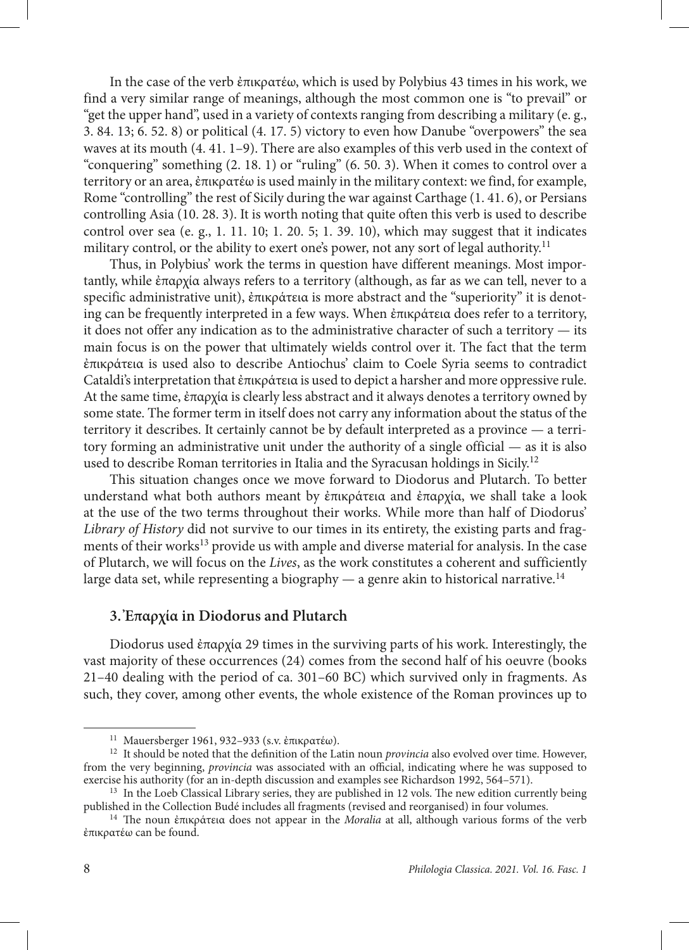In the case of the verb ἐπικρατέω, which is used by Polybius 43 times in his work, we find a very similar range of meanings, although the most common one is "to prevail" or "get the upper hand", used in a variety of contexts ranging from describing a military (e. g., 3. 84. 13; 6. 52. 8) or political (4. 17. 5) victory to even how Danube "overpowers" the sea waves at its mouth (4. 41. 1–9). There are also examples of this verb used in the context of "conquering" something (2. 18. 1) or "ruling" (6. 50. 3). When it comes to control over a territory or an area, ἐπικρατέω is used mainly in the military context: we find, for example, Rome "controlling" the rest of Sicily during the war against Carthage (1. 41. 6), or Persians controlling Asia (10. 28. 3). It is worth noting that quite often this verb is used to describe control over sea (e. g., 1. 11. 10; 1. 20. 5; 1. 39. 10), which may suggest that it indicates military control, or the ability to exert one's power, not any sort of legal authority.<sup>11</sup>

Thus, in Polybius' work the terms in question have different meanings. Most importantly, while ἐπαρχία always refers to a territory (although, as far as we can tell, never to a specific administrative unit), ἐπικράτεια is more abstract and the "superiority" it is denoting can be frequently interpreted in a few ways. When ἐπικράτεια does refer to a territory, it does not offer any indication as to the administrative character of such a territory — its main focus is on the power that ultimately wields control over it. The fact that the term ἐπικράτεια is used also to describe Antiochus' claim to Coele Syria seems to contradict Cataldi's interpretation that ἐπικράτεια is used to depict a harsher and more oppressive rule. At the same time, ἐπαρχία is clearly less abstract and it always denotes a territory owned by some state. The former term in itself does not carry any information about the status of the territory it describes. It certainly cannot be by default interpreted as a province — a territory forming an administrative unit under the authority of a single official — as it is also used to describe Roman territories in Italia and the Syracusan holdings in Sicily.12

This situation changes once we move forward to Diodorus and Plutarch. To better understand what both authors meant by ἐπικράτεια and ἐπαρχία, we shall take a look at the use of the two terms throughout their works. While more than half of Diodorus' *Library of History* did not survive to our times in its entirety, the existing parts and fragments of their works<sup>13</sup> provide us with ample and diverse material for analysis. In the case of Plutarch, we will focus on the *Lives*, as the work constitutes a coherent and sufficiently large data set, while representing a biography  $-$  a genre akin to historical narrative.<sup>14</sup>

### **3. Ἐπαρχία in Diodorus and Plutarch**

Diodorus used ἐπαρχία 29 times in the surviving parts of his work. Interestingly, the vast majority of these occurrences (24) comes from the second half of his oeuvre (books 21–40 dealing with the period of ca. 301–60 BC) which survived only in fragments. As such, they cover, among other events, the whole existence of the Roman provinces up to

<sup>11</sup> Mauersberger 1961, 932–933 (s.v. ἐπικρατέω).

<sup>&</sup>lt;sup>12</sup> It should be noted that the definition of the Latin noun *provincia* also evolved over time. However, from the very beginning, *provincia* was associated with an official, indicating where he was supposed to exercise his authority (for an in-depth discussion and examples see Richardson 1992, 564–571).

<sup>&</sup>lt;sup>13</sup> In the Loeb Classical Library series, they are published in 12 vols. The new edition currently being published in the Collection Budé includes all fragments (revised and reorganised) in four volumes.

<sup>14</sup> The noun ἐπικράτεια does not appear in the *Moralia* at all, although various forms of the verb ἐπικρατέω can be found.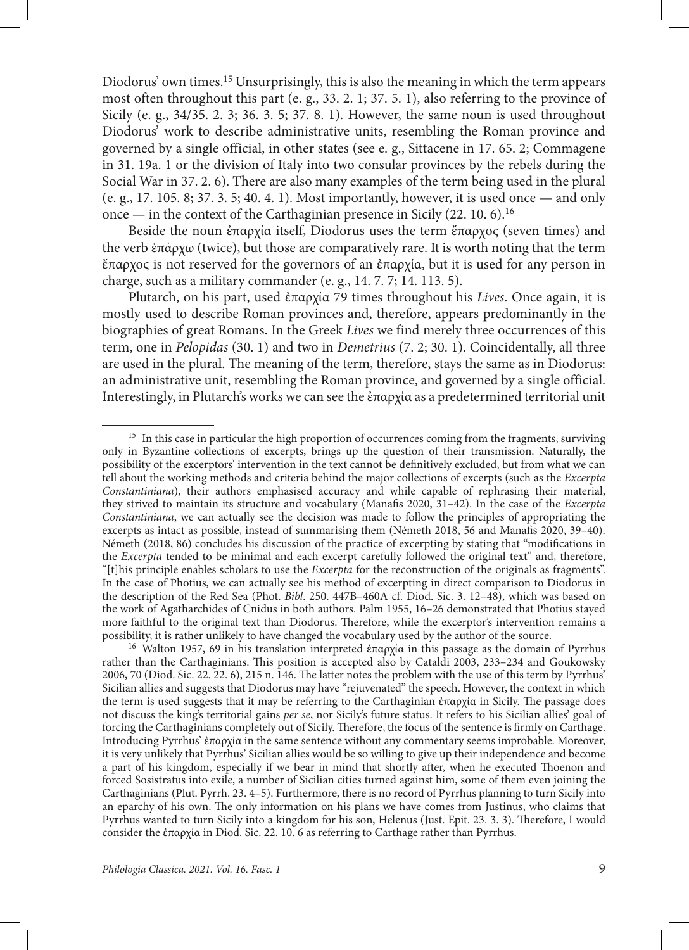Diodorus' own times.<sup>15</sup> Unsurprisingly, this is also the meaning in which the term appears most often throughout this part (e. g., 33. 2. 1; 37. 5. 1), also referring to the province of Sicily (e. g., 34/35. 2. 3; 36. 3. 5; 37. 8. 1). However, the same noun is used throughout Diodorus' work to describe administrative units, resembling the Roman province and governed by a single official, in other states (see e. g., Sittacene in 17. 65. 2; Commagene in 31. 19a. 1 or the division of Italy into two consular provinces by the rebels during the Social War in 37. 2. 6). There are also many examples of the term being used in the plural (e. g., 17. 105. 8; 37. 3. 5; 40. 4. 1). Most importantly, however, it is used once — and only once — in the context of the Carthaginian presence in Sicily  $(22. 10. 6)$ <sup>16</sup>

Beside the noun ἐπαρχία itself, Diodorus uses the term ἔπαρχος (seven times) and the verb ἐπάρχω (twice), but those are comparatively rare. It is worth noting that the term ἔπαρχος is not reserved for the governors of an ἐπαρχία, but it is used for any person in charge, such as a military commander (e. g., 14. 7. 7; 14. 113. 5).

Plutarch, on his part, used ἐπαρχία 79 times throughout his *Lives*. Once again, it is mostly used to describe Roman provinces and, therefore, appears predominantly in the biographies of great Romans. In the Greek *Lives* we find merely three occurrences of this term, one in *Pelopidas* (30. 1) and two in *Demetrius* (7. 2; 30. 1). Coincidentally, all three are used in the plural. The meaning of the term, therefore, stays the same as in Diodorus: an administrative unit, resembling the Roman province, and governed by a single official. Interestingly, in Plutarch's works we can see the ἐπαρχία as a predetermined territorial unit

<sup>16</sup> Walton 1957, 69 in his translation interpreted ἐπαρχία in this passage as the domain of Pyrrhus rather than the Carthaginians. This position is accepted also by Cataldi 2003, 233–234 and Goukowsky 2006, 70 (Diod. Sic. 22. 22. 6), 215 n. 146. The latter notes the problem with the use of this term by Pyrrhus' Sicilian allies and suggests that Diodorus may have "rejuvenated" the speech. However, the context in which the term is used suggests that it may be referring to the Carthaginian ἐπαρχία in Sicily. The passage does not discuss the king's territorial gains *per se*, nor Sicily's future status. It refers to his Sicilian allies' goal of forcing the Carthaginians completely out of Sicily. Therefore, the focus of the sentence is firmly on Carthage. Introducing Pyrrhus' ἐπαρχία in the same sentence without any commentary seems improbable. Moreover, it is very unlikely that Pyrrhus' Sicilian allies would be so willing to give up their independence and become a part of his kingdom, especially if we bear in mind that shortly after, when he executed Thoenon and forced Sosistratus into exile, a number of Sicilian cities turned against him, some of them even joining the Carthaginians (Plut. Pyrrh. 23. 4–5). Furthermore, there is no record of Pyrrhus planning to turn Sicily into an eparchy of his own. The only information on his plans we have comes from Justinus, who claims that Pyrrhus wanted to turn Sicily into a kingdom for his son, Helenus (Just. Epit. 23. 3. 3). Therefore, I would consider the ἐπαρχία in Diod. Sic. 22. 10. 6 as referring to Carthage rather than Pyrrhus.

<sup>&</sup>lt;sup>15</sup> In this case in particular the high proportion of occurrences coming from the fragments, surviving only in Byzantine collections of excerpts, brings up the question of their transmission. Naturally, the possibility of the excerptors' intervention in the text cannot be definitively excluded, but from what we can tell about the working methods and criteria behind the major collections of excerpts (such as the *Excerpta Constantiniana*), their authors emphasised accuracy and while capable of rephrasing their material, they strived to maintain its structure and vocabulary (Manafis 2020, 31–42). In the case of the *Excerpta Constantiniana*, we can actually see the decision was made to follow the principles of appropriating the excerpts as intact as possible, instead of summarising them (Németh 2018, 56 and Manafis 2020, 39–40). Németh (2018, 86) concludes his discussion of the practice of excerpting by stating that "modifications in the *Excerpta* tended to be minimal and each excerpt carefully followed the original text" and, therefore, "[t]his principle enables scholars to use the *Excerpta* for the reconstruction of the originals as fragments". In the case of Photius, we can actually see his method of excerpting in direct comparison to Diodorus in the description of the Red Sea (Phot. *Bibl*. 250. 447B–460A cf. Diod. Sic. 3. 12–48), which was based on the work of Agatharchides of Cnidus in both authors. Palm 1955, 16–26 demonstrated that Photius stayed more faithful to the original text than Diodorus. Therefore, while the excerptor's intervention remains a possibility, it is rather unlikely to have changed the vocabulary used by the author of the source.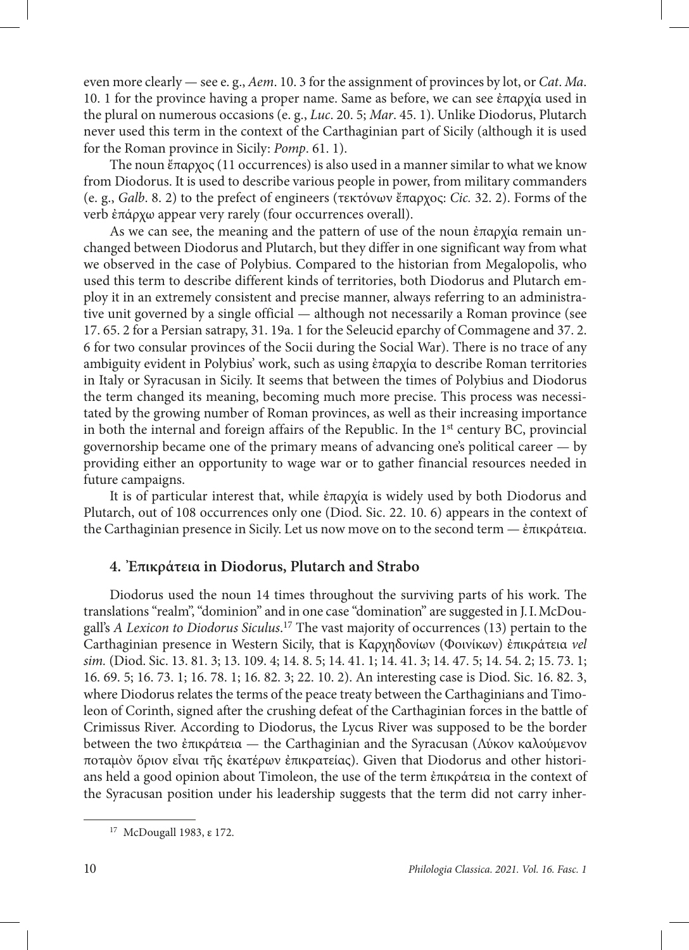even more clearly — see e. g., *Aem*. 10. 3 for the assignment of provinces by lot, or *Cat*. *Ma*. 10. 1 for the province having a proper name. Same as before, we can see ἐπαρχία used in the plural on numerous occasions (e. g., *Luc*. 20. 5; *Mar*. 45. 1). Unlike Diodorus, Plutarch never used this term in the context of the Carthaginian part of Sicily (although it is used for the Roman province in Sicily: *Pomp*. 61. 1).

The noun ἔπαρχος (11 occurrences) is also used in a manner similar to what we know from Diodorus. It is used to describe various people in power, from military commanders (e. g., *Galb*. 8. 2) to the prefect of engineers (τεκτόνων ἔπαρχος: *Cic.* 32. 2). Forms of the verb ἐπάρχω appear very rarely (four occurrences overall).

As we can see, the meaning and the pattern of use of the noun ἐπαρχία remain unchanged between Diodorus and Plutarch, but they differ in one significant way from what we observed in the case of Polybius. Compared to the historian from Megalopolis, who used this term to describe different kinds of territories, both Diodorus and Plutarch employ it in an extremely consistent and precise manner, always referring to an administrative unit governed by a single official — although not necessarily a Roman province (see 17. 65. 2 for a Persian satrapy, 31. 19a. 1 for the Seleucid eparchy of Commagene and 37. 2. 6 for two consular provinces of the Socii during the Social War). There is no trace of any ambiguity evident in Polybius' work, such as using ἐπαρχία to describe Roman territories in Italy or Syracusan in Sicily. It seems that between the times of Polybius and Diodorus the term changed its meaning, becoming much more precise. This process was necessitated by the growing number of Roman provinces, as well as their increasing importance in both the internal and foreign affairs of the Republic. In the  $1<sup>st</sup>$  century BC, provincial governorship became one of the primary means of advancing one's political career — by providing either an opportunity to wage war or to gather financial resources needed in future campaigns.

It is of particular interest that, while ἐπαρχία is widely used by both Diodorus and Plutarch, out of 108 occurrences only one (Diod. Sic. 22. 10. 6) appears in the context of the Carthaginian presence in Sicily. Let us now move on to the second term — ἐπικράτεια.

## **4. Ἐπικράτεια in Diodorus, Plutarch and Strabo**

Diodorus used the noun 14 times throughout the surviving parts of his work. Τhe translations "realm", "dominion" and in one case "domination" are suggested in J.I.McDougall's *A Lexicon to Diodorus Siculus*. 17 The vast majority of occurrences (13) pertain to the Carthaginian presence in Western Sicily, that is Καρχηδονίων (Φοινίκων) ἐπικράτεια *vel sim.* (Diod. Sic. 13. 81. 3; 13. 109. 4; 14. 8. 5; 14. 41. 1; 14. 41. 3; 14. 47. 5; 14. 54. 2; 15. 73. 1; 16. 69. 5; 16. 73. 1; 16. 78. 1; 16. 82. 3; 22. 10. 2). An interesting case is Diod. Sic. 16. 82. 3, where Diodorus relates the terms of the peace treaty between the Carthaginians and Timoleon of Corinth, signed after the crushing defeat of the Carthaginian forces in the battle of Crimissus River. According to Diodorus, the Lycus River was supposed to be the border between the two ἐπικράτεια — the Carthaginian and the Syracusan (Λύκον καλούμενον ποταμὸν ὅριον εἶναι τῆς ἑκατέρων ἐπικρατείας). Given that Diodorus and other historians held a good opinion about Timoleon, the use of the term ἐπικράτεια in the context of the Syracusan position under his leadership suggests that the term did not carry inher-

<sup>17</sup> McDougall 1983, ε 172.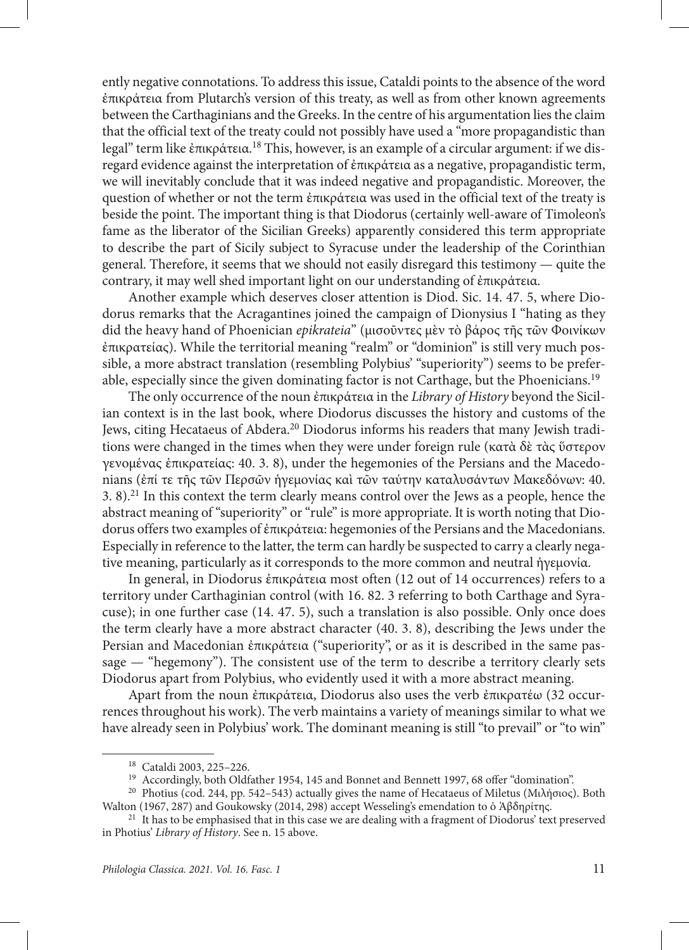ently negative connotations. To address this issue, Cataldi points to the absence of the word ἐπικράτεια from Plutarch's version of this treaty, as well as from other known agreements between the Carthaginians and the Greeks. In the centre of his argumentation lies the claim that the official text of the treaty could not possibly have used a "more propagandistic than legal" term like ἐπικράτεια.18 This, however, is an example of a circular argument: if we disregard evidence against the interpretation of ἐπικράτεια as a negative, propagandistic term, we will inevitably conclude that it was indeed negative and propagandistic. Moreover, the question of whether or not the term ἐπικράτεια was used in the official text of the treaty is beside the point. The important thing is that Diodorus (certainly well-aware of Timoleon's fame as the liberator of the Sicilian Greeks) apparently considered this term appropriate to describe the part of Sicily subject to Syracuse under the leadership of the Corinthian general. Therefore, it seems that we should not easily disregard this testimony — quite the contrary, it may well shed important light on our understanding of ἐπικράτεια.

Another example which deserves closer attention is Diod. Sic. 14. 47. 5, where Diodorus remarks that the Acragantines joined the campaign of Dionysius I "hating as they did the heavy hand of Phoenician *epikrateia*" (μισοῦντες μὲν τὸ βάρος τῆς τῶν Φοινίκων ἐπικρατείας). While the territorial meaning "realm" or "dominion" is still very much possible, a more abstract translation (resembling Polybius' "superiority") seems to be preferable, especially since the given dominating factor is not Carthage, but the Phoenicians.19

The only occurrence of the noun ἐπικράτεια in the *Library of History* beyond the Sicilian context is in the last book, where Diodorus discusses the history and customs of the Jews, citing Hecataeus of Abdera.20 Diodorus informs his readers that many Jewish traditions were changed in the times when they were under foreign rule (κατὰ δὲ τὰς ὕστερον γενομένας ἐπικρατείας: 40. 3. 8), under the hegemonies of the Persians and the Macedonians (ἐπί τε τῆς τῶν Περσῶν ἡγεμονίας καὶ τῶν ταύτην καταλυσάντων Μακεδόνων: 40. 3. 8).21 In this context the term clearly means control over the Jews as a people, hence the abstract meaning of "superiority" or "rule" is more appropriate. It is worth noting that Diodorus offers two examples of ἐπικράτεια: hegemonies of the Persians and the Macedonians. Especially in reference to the latter, the term can hardly be suspected to carry a clearly negative meaning, particularly as it corresponds to the more common and neutral ἡγεμονία.

In general, in Diodorus ἐπικράτεια most often (12 out of 14 occurrences) refers to a territory under Carthaginian control (with 16. 82. 3 referring to both Carthage and Syracuse); in one further case (14. 47. 5), such a translation is also possible. Only once does the term clearly have a more abstract character (40. 3. 8), describing the Jews under the Persian and Macedonian ἐπικράτεια ("superiority", or as it is described in the same passage — "hegemony"). The consistent use of the term to describe a territory clearly sets Diodorus apart from Polybius, who evidently used it with a more abstract meaning.

Apart from the noun ἐπικράτεια, Diodorus also uses the verb ἐπικρατέω (32 occurrences throughout his work). The verb maintains a variety of meanings similar to what we have already seen in Polybius' work. The dominant meaning is still "to prevail" or "to win"

<sup>18</sup> Cataldi 2003, 225–226.

<sup>&</sup>lt;sup>19</sup> Accordingly, both Oldfather 1954, 145 and Bonnet and Bennett 1997, 68 offer "domination".

<sup>&</sup>lt;sup>20</sup> Photius (cod. 244, pp. 542–543) actually gives the name of Hecataeus of Miletus (Μιλήσιος). Both Walton (1967, 287) and Goukowsky (2014, 298) accept Wesseling's emendation to ὁ Ἀβδηρίτης.

<sup>&</sup>lt;sup>21</sup> It has to be emphasised that in this case we are dealing with a fragment of Diodorus' text preserved in Photius' *Library of History*. See n. 15 above.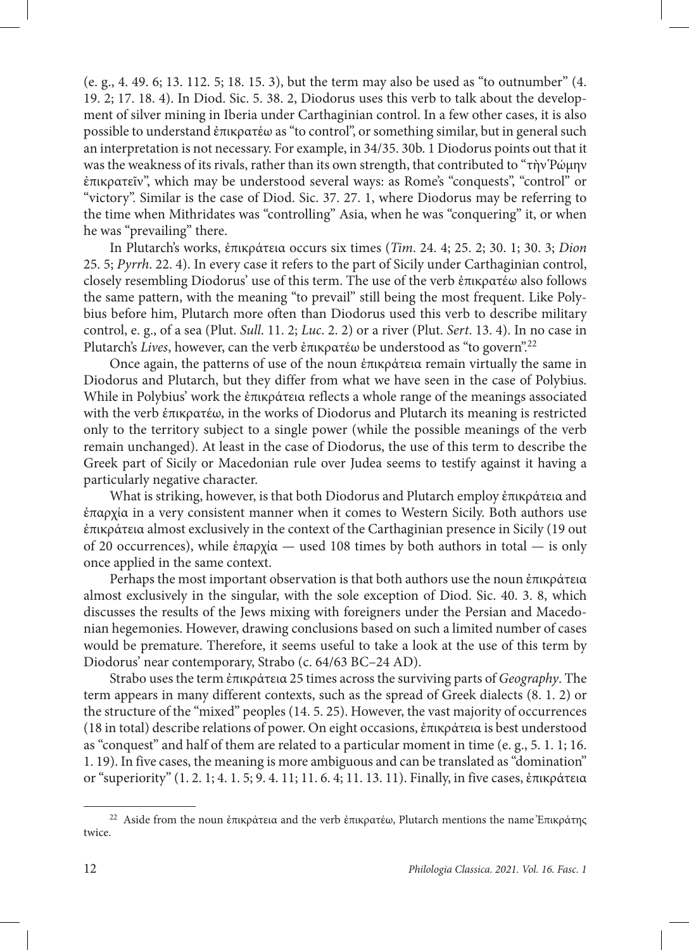(e. g., 4. 49. 6; 13. 112. 5; 18. 15. 3), but the term may also be used as "to outnumber" (4. 19. 2; 17. 18. 4). In Diod. Sic. 5. 38. 2, Diodorus uses this verb to talk about the development of silver mining in Iberia under Carthaginian control. In a few other cases, it is also possible to understand ἐπικρατέω as "to control", or something similar, but in general such an interpretation is not necessary. For example, in 34/35. 30b. 1 Diodorus points out that it was the weakness of its rivals, rather than its own strength, that contributed to "τὴν Ῥώμην ἐπικρατεῖν", which may be understood several ways: as Rome's "conquests", "control" or "victory". Similar is the case of Diod. Sic. 37. 27. 1, where Diodorus may be referring to the time when Mithridates was "controlling" Asia, when he was "conquering" it, or when he was "prevailing" there.

In Plutarch's works, ἐπικράτεια occurs six times (*Tim*. 24. 4; 25. 2; 30. 1; 30. 3; *Dion* 25. 5; *Pyrrh*. 22. 4). In every case it refers to the part of Sicily under Carthaginian control, closely resembling Diodorus' use of this term. The use of the verb ἐπικρατέω also follows the same pattern, with the meaning "to prevail" still being the most frequent. Like Polybius before him, Plutarch more often than Diodorus used this verb to describe military control, e. g., of a sea (Plut. *Sull*. 11. 2; *Luc*. 2. 2) or a river (Plut. *Sert*. 13. 4). In no case in Plutarch's *Lives*, however, can the verb ἐπικρατέω be understood as "to govern".22

Once again, the patterns of use of the noun ἐπικράτεια remain virtually the same in Diodorus and Plutarch, but they differ from what we have seen in the case of Polybius. While in Polybius' work the ἐπικράτεια reflects a whole range of the meanings associated with the verb ἐπικρατέω, in the works of Diodorus and Plutarch its meaning is restricted only to the territory subject to a single power (while the possible meanings of the verb remain unchanged). At least in the case of Diodorus, the use of this term to describe the Greek part of Sicily or Macedonian rule over Judea seems to testify against it having a particularly negative character.

What is striking, however, is that both Diodorus and Plutarch employ ἐπικράτεια and ἐπαρχία in a very consistent manner when it comes to Western Sicily. Both authors use ἐπικράτεια almost exclusively in the context of the Carthaginian presence in Sicily (19 out of 20 occurrences), while ἐπαρχία *—* used 108 times by both authors in total — is only once applied in the same context.

Perhaps the most important observation is that both authors use the noun ἐπικράτεια almost exclusively in the singular, with the sole exception of Diod. Sic. 40. 3. 8, which discusses the results of the Jews mixing with foreigners under the Persian and Macedonian hegemonies. However, drawing conclusions based on such a limited number of cases would be premature. Therefore, it seems useful to take a look at the use of this term by Diodorus' near contemporary, Strabo (c. 64/63 BC–24 AD).

Strabo uses the term ἐπικράτεια 25 times across the surviving parts of *Geography*. The term appears in many different contexts, such as the spread of Greek dialects (8. 1. 2) or the structure of the "mixed" peoples (14. 5. 25). However, the vast majority of occurrences (18 in total) describe relations of power. On eight occasions, ἐπικράτεια is best understood as "conquest" and half of them are related to a particular moment in time (e. g., 5. 1. 1; 16. 1. 19). In five cases, the meaning is more ambiguous and can be translated as "domination" or "superiority" (1. 2. 1; 4. 1. 5; 9. 4. 11; 11. 6. 4; 11. 13. 11). Finally, in five cases, ἐπικράτεια

<sup>&</sup>lt;sup>22</sup> Aside from the noun ἐπικράτεια and the verb ἐπικρατέω, Plutarch mentions the name Ἐπικράτης twice.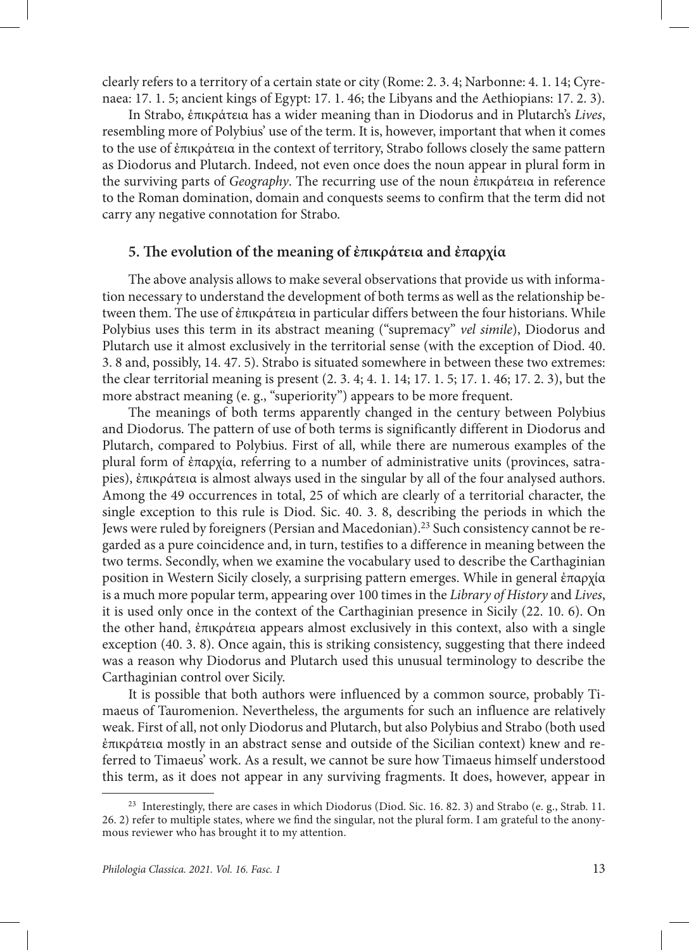clearly refers to a territory of a certain state or city (Rome: 2. 3. 4; Narbonne: 4. 1. 14; Cyrenaea: 17. 1. 5; ancient kings of Egypt: 17. 1. 46; the Libyans and the Aethiopians: 17. 2. 3).

In Strabo, ἐπικράτεια has a wider meaning than in Diodorus and in Plutarch's *Lives*, resembling more of Polybius' use of the term. It is, however, important that when it comes to the use of ἐπικράτεια in the context of territory, Strabo follows closely the same pattern as Diodorus and Plutarch. Indeed, not even once does the noun appear in plural form in the surviving parts of *Geography*. The recurring use of the noun ἐπικράτεια in reference to the Roman domination, domain and conquests seems to confirm that the term did not carry any negative connotation for Strabo.

### **5. The evolution of the meaning of ἐπικράτεια and ἐπαρχία**

The above analysis allows to make several observations that provide us with information necessary to understand the development of both terms as well as the relationship between them. The use of ἐπικράτεια in particular differs between the four historians. While Polybius uses this term in its abstract meaning ("supremacy" *vel simile*), Diodorus and Plutarch use it almost exclusively in the territorial sense (with the exception of Diod. 40. 3. 8 and, possibly, 14. 47. 5). Strabo is situated somewhere in between these two extremes: the clear territorial meaning is present (2. 3. 4; 4. 1. 14; 17. 1. 5; 17. 1. 46; 17. 2. 3), but the more abstract meaning (e. g., "superiority") appears to be more frequent.

The meanings of both terms apparently changed in the century between Polybius and Diodorus. The pattern of use of both terms is significantly different in Diodorus and Plutarch, compared to Polybius. First of all, while there are numerous examples of the plural form of ἐπαρχία, referring to a number of administrative units (provinces, satrapies), ἐπικράτεια is almost always used in the singular by all of the four analysed authors. Among the 49 occurrences in total, 25 of which are clearly of a territorial character, the single exception to this rule is Diod. Sic. 40. 3. 8, describing the periods in which the Jews were ruled by foreigners (Persian and Macedonian).23 Such consistency cannot be regarded as a pure coincidence and, in turn, testifies to a difference in meaning between the two terms. Secondly, when we examine the vocabulary used to describe the Carthaginian position in Western Sicily closely, a surprising pattern emerges. While in general ἐπαρχία is a much more popular term, appearing over 100 times in the *Library of History* and *Lives*, it is used only once in the context of the Carthaginian presence in Sicily (22. 10. 6). On the other hand, ἐπικράτεια appears almost exclusively in this context, also with a single exception (40. 3. 8). Once again, this is striking consistency, suggesting that there indeed was a reason why Diodorus and Plutarch used this unusual terminology to describe the Carthaginian control over Sicily.

It is possible that both authors were influenced by a common source, probably Timaeus of Tauromenion. Nevertheless, the arguments for such an influence are relatively weak. First of all, not only Diodorus and Plutarch, but also Polybius and Strabo (both used ἐπικράτεια mostly in an abstract sense and outside of the Sicilian context) knew and referred to Timaeus' work. As a result, we cannot be sure how Timaeus himself understood this term, as it does not appear in any surviving fragments. It does, however, appear in

<sup>&</sup>lt;sup>23</sup> Interestingly, there are cases in which Diodorus (Diod. Sic. 16. 82. 3) and Strabo (e. g., Strab. 11. 26. 2) refer to multiple states, where we find the singular, not the plural form. I am grateful to the anonymous reviewer who has brought it to my attention.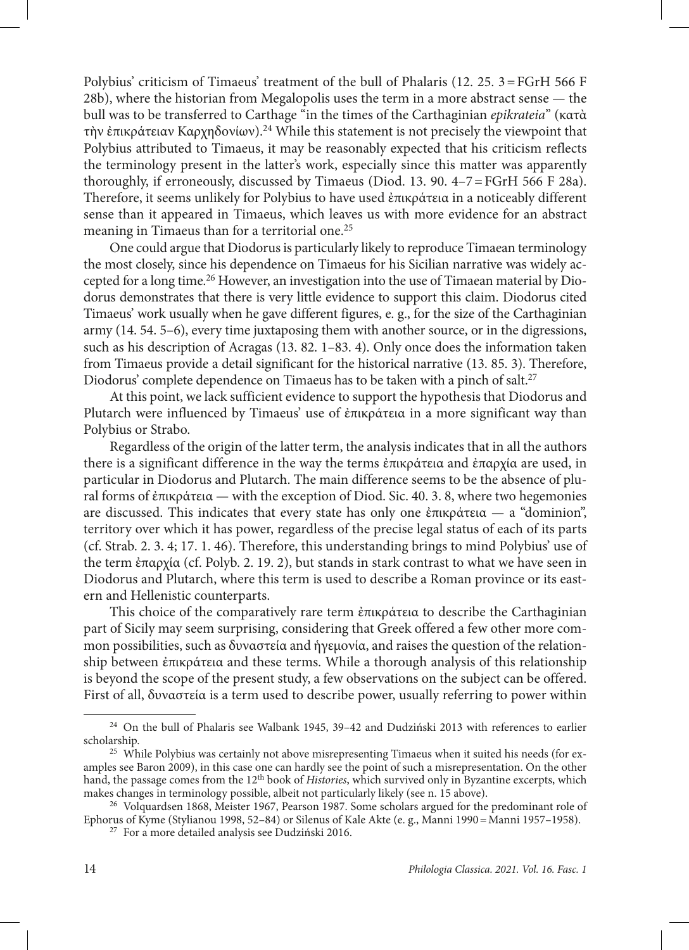Polybius' criticism of Timaeus' treatment of the bull of Phalaris (12. 25. 3=FGrH 566 F 28b), where the historian from Megalopolis uses the term in a more abstract sense — the bull was to be transferred to Carthage "in the times of the Carthaginian *epikrateia*" (κατὰ τὴν ἐπικράτειαν Καρχηδονίων).24 While this statement is not precisely the viewpoint that Polybius attributed to Timaeus, it may be reasonably expected that his criticism reflects the terminology present in the latter's work, especially since this matter was apparently thoroughly, if erroneously, discussed by Timaeus (Diod. 13. 90. 4–7=FGrH 566 F 28a). Therefore, it seems unlikely for Polybius to have used ἐπικράτεια in a noticeably different sense than it appeared in Timaeus, which leaves us with more evidence for an abstract meaning in Timaeus than for a territorial one.<sup>25</sup>

One could argue that Diodorus is particularly likely to reproduce Timaean terminology the most closely, since his dependence on Timaeus for his Sicilian narrative was widely accepted for a long time.26 However, an investigation into the use of Timaean material by Diodorus demonstrates that there is very little evidence to support this claim. Diodorus cited Timaeus' work usually when he gave different figures, e. g., for the size of the Carthaginian army (14. 54. 5–6), every time juxtaposing them with another source, or in the digressions, such as his description of Acragas (13. 82. 1–83. 4). Only once does the information taken from Timaeus provide a detail significant for the historical narrative (13. 85. 3). Therefore, Diodorus' complete dependence on Timaeus has to be taken with a pinch of salt.<sup>27</sup>

At this point, we lack sufficient evidence to support the hypothesis that Diodorus and Plutarch were influenced by Timaeus' use of ἐπικράτεια in a more significant way than Polybius or Strabo.

Regardless of the origin of the latter term, the analysis indicates that in all the authors there is a significant difference in the way the terms ἐπικράτεια and ἐπαρχία are used, in particular in Diodorus and Plutarch. The main difference seems to be the absence of plural forms of ἐπικράτεια — with the exception of Diod. Sic. 40. 3. 8, where two hegemonies are discussed. This indicates that every state has only one ἐπικράτεια — a "dominion", territory over which it has power, regardless of the precise legal status of each of its parts (cf. Strab. 2. 3. 4; 17. 1. 46). Therefore, this understanding brings to mind Polybius' use of the term ἐπαρχία (cf. Polyb. 2. 19. 2), but stands in stark contrast to what we have seen in Diodorus and Plutarch, where this term is used to describe a Roman province or its eastern and Hellenistic counterparts.

This choice of the comparatively rare term ἐπικράτεια to describe the Carthaginian part of Sicily may seem surprising, considering that Greek offered a few other more common possibilities, such as δυναστεία and ἡγεμονία, and raises the question of the relationship between ἐπικράτεια and these terms. While a thorough analysis of this relationship is beyond the scope of the present study, a few observations on the subject can be offered. First of all, δυναστεία is a term used to describe power, usually referring to power within

<sup>24</sup> On the bull of Phalaris see Walbank 1945, 39–42 and Dudziński 2013 with references to earlier scholarship.

<sup>&</sup>lt;sup>25</sup> While Polybius was certainly not above misrepresenting Timaeus when it suited his needs (for examples see Baron 2009), in this case one can hardly see the point of such a misrepresentation. On the other hand, the passage comes from the 12th book of *Histories*, which survived only in Byzantine excerpts, which makes changes in terminology possible, albeit not particularly likely (see n. 15 above).

<sup>26</sup> Volquardsen 1868, Meister 1967, Pearson 1987. Some scholars argued for the predominant role of Ephorus of Kyme (Stylianou 1998, 52–84) or Silenus of Kale Akte (e. g., Manni 1990=Manni 1957–1958).

<sup>27</sup> For a more detailed analysis see Dudziński 2016.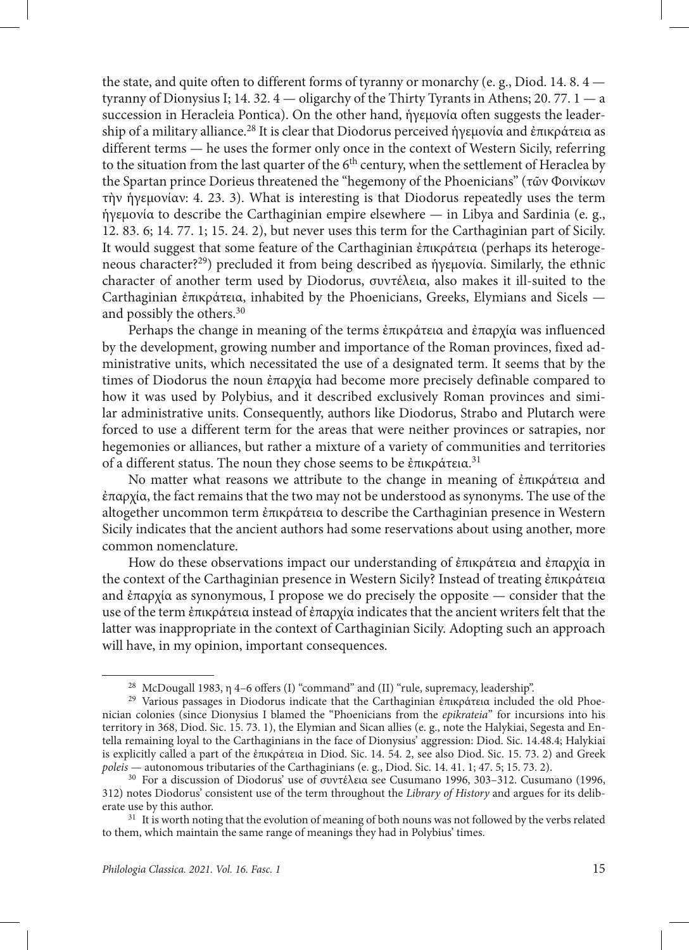the state, and quite often to different forms of tyranny or monarchy (e. g., Diod. 14. 8. 4 tyranny of Dionysius I; 14. 32.  $4$  — oligarchy of the Thirty Tyrants in Athens; 20. 77.  $1$  — a succession in Heracleia Pontica). On the other hand, ἡγεμονία often suggests the leadership of a military alliance.<sup>28</sup> It is clear that Diodorus perceived ήγεμονία and ἐπικράτεια as different terms — he uses the former only once in the context of Western Sicily, referring to the situation from the last quarter of the  $6<sup>th</sup>$  century, when the settlement of Heraclea by the Spartan prince Dorieus threatened the "hegemony of the Phoenicians" (τῶν Φοινίκων τὴν ἡγεμονίαν: 4. 23. 3). What is interesting is that Diodorus repeatedly uses the term ἡγεμονία to describe the Carthaginian empire elsewhere — in Libya and Sardinia (e. g., 12. 83. 6; 14. 77. 1; 15. 24. 2), but never uses this term for the Carthaginian part of Sicily. It would suggest that some feature of the Carthaginian ἐπικράτεια (perhaps its heterogeneous character?29) precluded it from being described as ἡγεμονία. Similarly, the ethnic character of another term used by Diodorus, συντέλεια, also makes it ill-suited to the Carthaginian ἐπικράτεια, inhabited by the Phoenicians, Greeks, Elymians and Sicels and possibly the others.30

Perhaps the change in meaning of the terms ἐπικράτεια and ἐπαρχία was influenced by the development, growing number and importance of the Roman provinces, fixed administrative units, which necessitated the use of a designated term. It seems that by the times of Diodorus the noun ἐπαρχία had become more precisely definable compared to how it was used by Polybius, and it described exclusively Roman provinces and similar administrative units. Consequently, authors like Diodorus, Strabo and Plutarch were forced to use a different term for the areas that were neither provinces or satrapies, nor hegemonies or alliances, but rather a mixture of a variety of communities and territories of a different status. The noun they chose seems to be έπικράτεια.<sup>31</sup>

No matter what reasons we attribute to the change in meaning of ἐπικράτεια and ἐπαρχία, the fact remains that the two may not be understood as synonyms. The use of the altogether uncommon term ἐπικράτεια to describe the Carthaginian presence in Western Sicily indicates that the ancient authors had some reservations about using another, more common nomenclature.

How do these observations impact our understanding of ἐπικράτεια and ἐπαρχία in the context of the Carthaginian presence in Western Sicily? Instead of treating ἐπικράτεια and ἐπαρχία as synonymous, I propose we do precisely the opposite — consider that the use of the term ἐπικράτεια instead of ἐπαρχία indicates that the ancient writers felt that the latter was inappropriate in the context of Carthaginian Sicily. Adopting such an approach will have, in my opinion, important consequences.

<sup>28</sup> McDougall 1983, η 4–6 offers (I) "command" and (II) "rule, supremacy, leadership".

<sup>&</sup>lt;sup>29</sup> Various passages in Diodorus indicate that the Carthaginian ἐπικράτεια included the old Phoenician colonies (since Dionysius I blamed the "Phoenicians from the *epikrateia*" for incursions into his territory in 368, Diod. Sic. 15. 73. 1), the Elymian and Sican allies (e. g., note the Halykiai, Segesta and Entella remaining loyal to the Carthaginians in the face of Dionysius' aggression: Diod. Sic. 14.48.4; Halykiai is explicitly called a part of the ἐπικράτεια in Diod. Sic. 14. 54. 2, see also Diod. Sic. 15. 73. 2) and Greek *poleis* — autonomous tributaries of the Carthaginians (e. g., Diod. Sic. 14. 41. 1; 47. 5; 15. 73. 2).

<sup>30</sup> For a discussion of Diodorus' use of συντέλεια see Cusumano 1996, 303–312. Cusumano (1996, 312) notes Diodorus' consistent use of the term throughout the *Library of History* and argues for its deliberate use by this author.

<sup>&</sup>lt;sup>31</sup> It is worth noting that the evolution of meaning of both nouns was not followed by the verbs related to them, which maintain the same range of meanings they had in Polybius' times.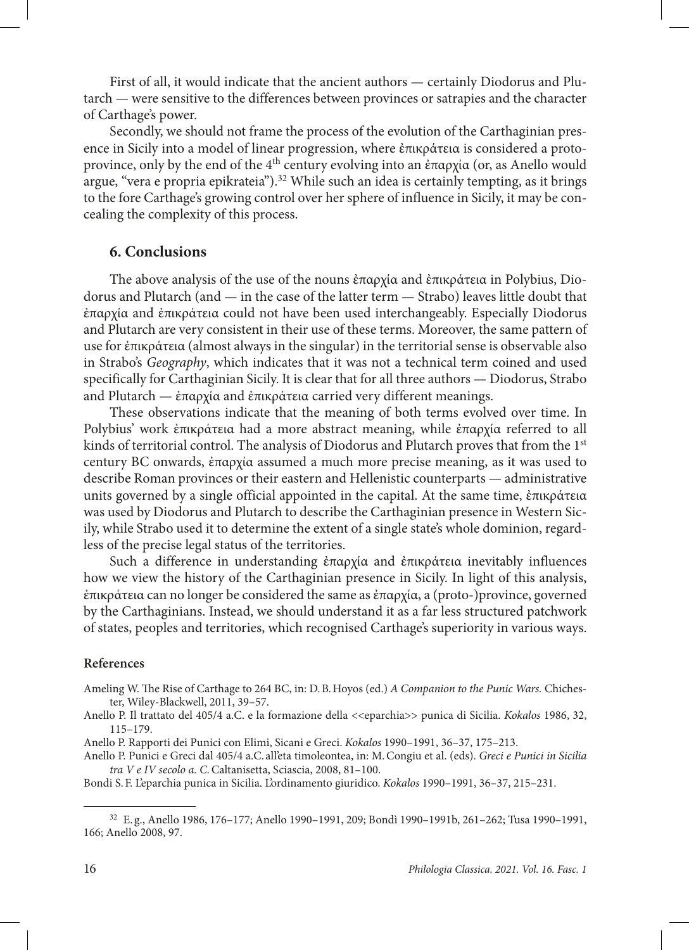First of all, it would indicate that the ancient authors — certainly Diodorus and Plutarch — were sensitive to the differences between provinces or satrapies and the character of Carthage's power.

Secondly, we should not frame the process of the evolution of the Carthaginian presence in Sicily into a model of linear progression, where ἐπικράτεια is considered a protoprovince, only by the end of the 4<sup>th</sup> century evolving into an ἐπαρχία (or, as Anello would argue, "vera e propria epikrateia").<sup>32</sup> While such an idea is certainly tempting, as it brings to the fore Carthage's growing control over her sphere of influence in Sicily, it may be concealing the complexity of this process.

## **6. Conclusions**

The above analysis of the use of the nouns ἐπαρχία and ἐπικράτεια in Polybius, Diodorus and Plutarch (and — in the case of the latter term — Strabo) leaves little doubt that ἐπαρχία and ἐπικράτεια could not have been used interchangeably. Especially Diodorus and Plutarch are very consistent in their use of these terms. Moreover, the same pattern of use for ἐπικράτεια (almost always in the singular) in the territorial sense is observable also in Strabo's *Geography*, which indicates that it was not a technical term coined and used specifically for Carthaginian Sicily. It is clear that for all three authors — Diodorus, Strabo and Plutarch — ἐπαρχία and ἐπικράτεια carried very different meanings.

These observations indicate that the meaning of both terms evolved over time. In Polybius' work ἐπικράτεια had a more abstract meaning, while ἐπαρχία referred to all kinds of territorial control. The analysis of Diodorus and Plutarch proves that from the 1<sup>st</sup> century BC onwards, ἐπαρχία assumed a much more precise meaning, as it was used to describe Roman provinces or their eastern and Hellenistic counterparts — administrative units governed by a single official appointed in the capital. At the same time, ἐπικράτεια was used by Diodorus and Plutarch to describe the Carthaginian presence in Western Sicily, while Strabo used it to determine the extent of a single state's whole dominion, regardless of the precise legal status of the territories.

Such a difference in understanding ἐπαρχία and ἐπικράτεια inevitably influences how we view the history of the Carthaginian presence in Sicily. In light of this analysis, ἐπικράτεια can no longer be considered the same as ἐπαρχία, a (proto-)province, governed by the Carthaginians. Instead, we should understand it as a far less structured patchwork of states, peoples and territories, which recognised Carthage's superiority in various ways.

#### **References**

Ameling W. The Rise of Carthage to 264 BC, in: D.B.Hoyos (ed.) *A Companion to the Punic Wars.* Chichester, Wiley-Blackwell, 2011, 39–57.

Anello P. Il trattato del 405/4 a.C. e la formazione della <<eparchia>> punica di Sicilia. *Kokalos* 1986, 32, 115–179.

Anello P. Rapporti dei Punici con Elimi, Sicani e Greci. *Kokalos* 1990–1991, 36–37, 175–213.

Anello P. Punici e Greci dal 405/4 a.C. all'eta timoleontea, in: M.Congiu et al. (eds). *Greci e Punici in Sicilia tra V e IV secolo a. C.*Caltanisetta, Sciascia, 2008, 81–100.

Bondi S.F. L'eparchia punica in Sicilia. L'ordinamento giuridico. *Kokalos* 1990–1991, 36–37, 215–231.

<sup>32</sup> E. g., Anello 1986, 176–177; Anello 1990–1991, 209; Bondì 1990–1991b, 261–262; Tusa 1990–1991, 166; Anello 2008, 97.